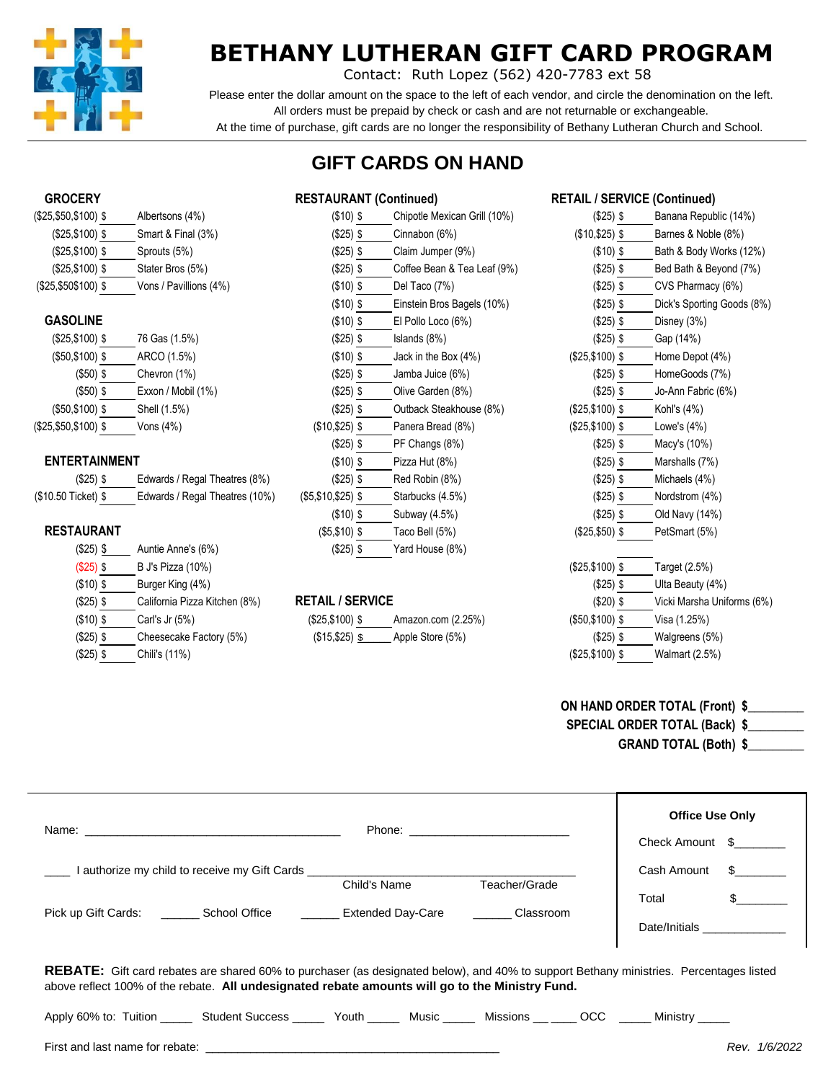

# **BETHANY LUTHERAN GIFT CARD PROGRAM**

Contact: Ruth Lopez (562) 420-7783 ext 58

 Please enter the dollar amount on the space to the left of each vendor, and circle the denomination on the left. All orders must be prepaid by check or cash and are not returnable or exchangeable. At the time of purchase, gift cards are no longer the responsibility of Bethany Lutheran Church and School.

## **GIFT CARDS ON HAND**

| (\$25,\$50,\$100) \$ | Albertsons (4%)        |
|----------------------|------------------------|
| $($25, $100)$ \$     | Smart & Final (3%)     |
| $($25, $100)$ \$     | Sprouts (5%)           |
| $($25, $100)$ \$     | Stater Bros (5%)       |
| $($25, $50$100)$ \$  | Vons / Pavillions (4%) |

|                       |                    | $\cdots$        |                     |
|-----------------------|--------------------|-----------------|---------------------|
| $($25, $100)$ \$      | 76 Gas (1.5%)      | $($25)$ \$      | Islands $(8%)$      |
| $($50, $100)$ \$      | ARCO (1.5%)        | $($10)$ \$      | Jack in the Box (4% |
| $($50)$ \$            | Chevron (1%)       | $($25)$ \$      | Jamba Juice (6%)    |
| $($ \$50) \$          | Exxon / Mobil (1%) | $($25)$ \$      | Olive Garden (8%)   |
| (\$50,\$100)\$        | Shell (1.5%)       | $(S25)$ \$      | Outback Steakhous   |
| $($25, $50, $100)$ \$ | Vons (4%)          | $($10, $25)$ \$ | Panera Bread (8%)   |

| $(S25)$ \$         | Edwards / Regal Theatres (8%)  |
|--------------------|--------------------------------|
| \$10.50 Ticket) \$ | Edwards / Regal Theatres (10%) |
|                    |                                |

| $($25)$ \$ | Auntie Anne's (6%)            | (\$25) \$               | Yard House (8%)    |                  |                  |
|------------|-------------------------------|-------------------------|--------------------|------------------|------------------|
| $($25)$ \$ | B J's Pizza (10%)             |                         |                    | $($25, $100)$ \$ | Target (2.5%)    |
| $($10)$ \$ | Burger King (4%)              |                         |                    | $(S25)$ \$       | Ulta Beauty (4%) |
| $($25)$ \$ | California Pizza Kitchen (8%) | <b>RETAIL / SERVICE</b> |                    | $($20)$ \$       | Vicki Marsha Uni |
| $($10)$ \$ | Carl's Jr (5%)                | $($25, $100)$ \$        | Amazon.com (2.25%) | $(S50, $100)$ \$ | Visa (1.25%)     |
| $($25)$ \$ | Cheesecake Factory (5%)       | $($15, $25)$ \$         | Apple Store (5%)   | $(S25)$ \$       | Walgreens (5%)   |
| $($25)$ \$ | Chili's (11%)                 |                         |                    | $($25, $100)$ \$ | Walmart (2.5%)   |

## **GROCERY RESTAURANT (Continued) RETAIL / SERVICE (Continued)** (\$10) \$ Chipotle Mexican Grill (10%) (\$25,\$100) \$ Smart & Final (3%) (\$25) \$ Cinnabon (6%) (\$10,\$25) \$ Barnes & Noble (8%)  $($25)$  \$ Claim Jumper  $(9%)$  $($25)$  \$ Coffee Bean & Tea Leaf  $(9\%)$ (\$25,\$50\$100) \$ Vons / Pavillions (4%) (\$10) \$ Del Taco (7%) (\$25) \$ CVS Pharmacy (6%) (\$10) \$ Einstein Bros Bagels (10%) **GASOLINE** (\$10) \$ El Pollo Loco (6%) (\$25,\$100) \$ 76 Gas (1.5%) (\$25) \$ Islands (8%) (\$25) \$ Gap (14%)  $($10)$  \$ Jack in the Box  $(4\%)$  $($25)$  \$ Jamba Juice  $(6%)$  $($25)$  \$ Olive Garden  $(8%)$ (\$25) \$ Outback Steakhouse (8%) (\$25) \$ PF Changs (8%) **ENTERTAINMENT** (\$10) \$ Pizza Hut (8%)  $($25)$  \$ Red Robin  $(8\%)$ (\$5,\$10,\$25) \$ Starbucks (4.5%)  $($10)$  \$ Subway  $(4.5%)$ **RESTAURANT** (\$5,\$10) \$ Taco Bell (5%) (\$25,\$50) \$ PetSmart (5%) (\$25) \$ Auntie Anne's (6%) (\$25) \$ Yard House (8%)

## **RETAIL / SERVICE**

| $($25, $100)$ \$       | Amazon.com (2.25%) |
|------------------------|--------------------|
| $($15, $25)$ <u>\$</u> | Apple Store (5%)   |

| $($25)$ \$       | Banana Republic (14%)      |
|------------------|----------------------------|
| $($10, $25)$ \$  | Barnes & Noble (8%)        |
| $($ \$10) \$     | Bath & Body Works (12%)    |
| $($25)$ \$       | Bed Bath & Beyond (7%)     |
| (\$25) \$        | CVS Pharmacy (6%)          |
| $($25)$ \$       | Dick's Sporting Goods (8%) |
| (\$25) \$        | Disney (3%)                |
| $($25)$ \$       | Gap (14%)                  |
| (\$25,\$100) \$  | Home Depot (4%)            |
| $($25)$ \$       | HomeGoods (7%)             |
| $($25)$ \$       | Jo-Ann Fabric (6%)         |
| $($25, $100)$ \$ | Kohl's (4%)                |
| $($25, $100)$ \$ | Lowe's (4%)                |
| (\$25) \$        | Macy's (10%)               |
| (\$25) \$        | Marshalls (7%)             |
| (\$25) \$        | Michaels (4%)              |
| (\$25) \$        | Nordstrom (4%)             |
| $($25)$ \$       | Old Navy (14%)             |
| $($25, $50)$ \$  | PetSmart (5%)              |
|                  |                            |
| $($25, $100)$ \$ | Target (2.5%)              |
| $($25)$ \$       | Ulta Beauty (4%)           |
| (\$20) \$        | Vicki Marsha Uniforms (6%) |
| $($50, $100)$ \$ | Visa (1.25%)               |
| (\$25) \$        | Walgreens (5%)             |
| $($25, $100)$ \$ | Walmart (2.5%)             |
|                  |                            |

## **ON HAND ORDER TOTAL (Front) \$\_\_\_\_\_\_\_\_\_ SPECIAL ORDER TOTAL (Back) \$\_\_\_\_\_\_\_\_\_**

**GRAND TOTAL (Both) \$\_\_\_\_\_\_\_\_\_**

|                                                                                                                                                                                                                                                  |              |               | <b>Office Use Only</b><br>Check Amount \$ |               |  |  |
|--------------------------------------------------------------------------------------------------------------------------------------------------------------------------------------------------------------------------------------------------|--------------|---------------|-------------------------------------------|---------------|--|--|
| Lauthorize my child to receive my Gift Cards ___________________________________                                                                                                                                                                 |              |               | Cash Amount                               | $\mathbb{S}$  |  |  |
|                                                                                                                                                                                                                                                  | Child's Name | Teacher/Grade |                                           |               |  |  |
|                                                                                                                                                                                                                                                  |              | Classroom     | Total                                     | $\frac{1}{2}$ |  |  |
| Pick up Gift Cards: _________ School Office __________ Extended Day-Care                                                                                                                                                                         |              |               | Date/Initials _______________             |               |  |  |
| <b>REBATE:</b> Gift card rebates are shared 60% to purchaser (as designated below), and 40% to support Bethany ministries. Percentages listed<br>above reflect 100% of the rebate. All undesignated rebate amounts will go to the Ministry Fund. |              |               |                                           |               |  |  |
| Apply 60% to: Tuition _______ Student Success _______ Youth _______ Music _______ Missions _______ OCC ______ Ministry _____                                                                                                                     |              |               |                                           |               |  |  |

First and last name for rebate: \_\_\_\_\_\_\_\_\_\_\_\_\_\_\_\_\_\_\_\_\_\_\_\_\_\_\_\_\_\_\_\_\_\_\_\_\_\_\_\_\_\_\_\_\_\_ *Rev. 1/6/2022*